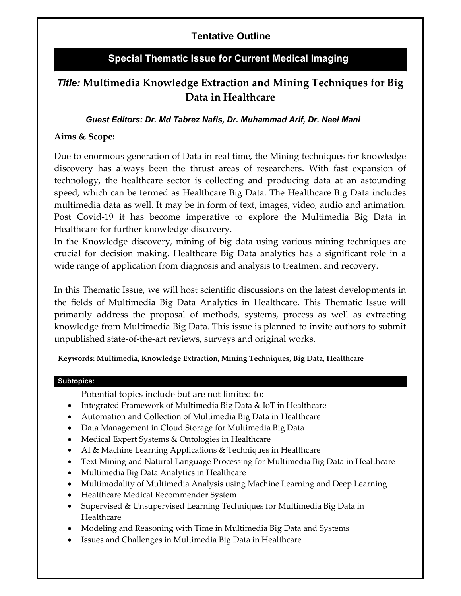# Tentative Outline

# Special Thematic Issue for Current Medical Imaging

# Title: Multimedia Knowledge Extraction and Mining Techniques for Big Data in Healthcare

### Guest Editors: Dr. Md Tabrez Nafis, Dr. Muhammad Arif, Dr. Neel Mani

## Aims & Scope:

Due to enormous generation of Data in real time, the Mining techniques for knowledge discovery has always been the thrust areas of researchers. With fast expansion of technology, the healthcare sector is collecting and producing data at an astounding speed, which can be termed as Healthcare Big Data. The Healthcare Big Data includes multimedia data as well. It may be in form of text, images, video, audio and animation. Post Covid-19 it has become imperative to explore the Multimedia Big Data in Healthcare for further knowledge discovery.

In the Knowledge discovery, mining of big data using various mining techniques are crucial for decision making. Healthcare Big Data analytics has a significant role in a wide range of application from diagnosis and analysis to treatment and recovery.

In this Thematic Issue, we will host scientific discussions on the latest developments in the fields of Multimedia Big Data Analytics in Healthcare. This Thematic Issue will primarily address the proposal of methods, systems, process as well as extracting knowledge from Multimedia Big Data. This issue is planned to invite authors to submit unpublished state-of-the-art reviews, surveys and original works.

Keywords: Multimedia, Knowledge Extraction, Mining Techniques, Big Data, Healthcare

#### Subtopics:

- Potential topics include but are not limited to:
- Integrated Framework of Multimedia Big Data & IoT in Healthcare
- Automation and Collection of Multimedia Big Data in Healthcare
- Data Management in Cloud Storage for Multimedia Big Data
- Medical Expert Systems & Ontologies in Healthcare
- AI & Machine Learning Applications & Techniques in Healthcare
- Text Mining and Natural Language Processing for Multimedia Big Data in Healthcare
- Multimedia Big Data Analytics in Healthcare
- Multimodality of Multimedia Analysis using Machine Learning and Deep Learning
- Healthcare Medical Recommender System
- Supervised & Unsupervised Learning Techniques for Multimedia Big Data in Healthcare
- Modeling and Reasoning with Time in Multimedia Big Data and Systems
- Issues and Challenges in Multimedia Big Data in Healthcare